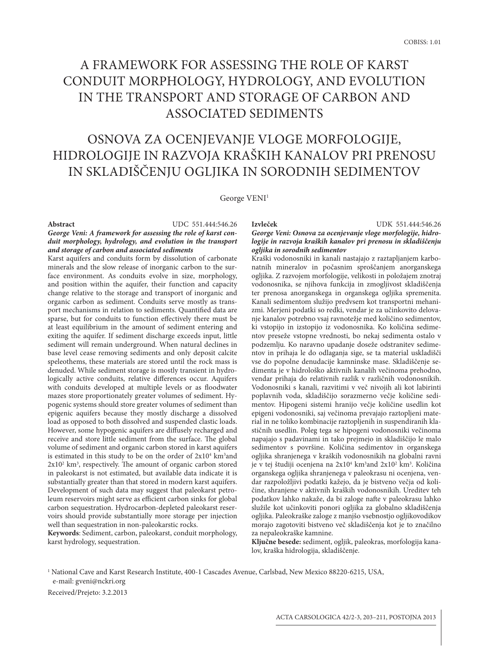# A framework for assessing the role of karst conduit morphology, hydrology, and evolution in the transport and storage of carbon and associated sediments

## Osnova za ocenjevanje vloge morfologije, hidrologije in razvoja kraških kanalov pri prenosu in skladiščenju ogljika in sorodnih sedimentov

George VENI<sup>1</sup>

#### **Izvleček** UDK 551.444:546.26 **Abstract** UDC 551.444:546.26

#### *George Veni: A framework for assessing the role of karst conduit morphology, hydrology, and evolution in the transport and storage of carbon and associated sediments*

Karst aquifers and conduits form by dissolution of carbonate minerals and the slow release of inorganic carbon to the surface environment. As conduits evolve in size, morphology, and position within the aquifer, their function and capacity change relative to the storage and transport of inorganic and organic carbon as sediment. Conduits serve mostly as transport mechanisms in relation to sediments. Quantified data are sparse, but for conduits to function effectively there must be at least equilibrium in the amount of sediment entering and exiting the aquifer. If sediment discharge exceeds input, little sediment will remain underground. When natural declines in base level cease removing sediments and only deposit calcite speleothems, these materials are stored until the rock mass is denuded. While sediment storage is mostly transient in hydrologically active conduits, relative differences occur. Aquifers with conduits developed at multiple levels or as floodwater mazes store proportionately greater volumes of sediment. Hypogenic systems should store greater volumes of sediment than epigenic aquifers because they mostly discharge a dissolved load as opposed to both dissolved and suspended clastic loads. However, some hypogenic aquifers are diffusely recharged and receive and store little sediment from the surface. The global volume of sediment and organic carbon stored in karst aquifers is estimated in this study to be on the order of  $2x10<sup>4</sup>$  km<sup>3</sup> and 2x10<sup>2</sup> km<sup>3</sup>, respectively. The amount of organic carbon stored in paleokarst is not estimated, but available data indicate it is substantially greater than that stored in modern karst aquifers. Development of such data may suggest that paleokarst petroleum reservoirs might serve as efficient carbon sinks for global carbon sequestration. Hydrocarbon-depleted paleokarst reservoirs should provide substantially more storage per injection well than sequestration in non-paleokarstic rocks.

**Keywords**: Sediment, carbon, paleokarst, conduit morphology, karst hydrology, sequestration.

#### *George Veni: Osnova za ocenjevanje vloge morfologije, hidrologije in razvoja kraških kanalov pri prenosu in skladiščenju ogljika in sorodnih sedimentov*

Kraški vodonosniki in kanali nastajajo z raztapljanjem karbonatnih mineralov in počasnim sproščanjem anorganskega ogljika. Z razvojem morfologije, velikosti in položajem znotraj vodonosnika, se njihova funkcija in zmogljivost skladiščenja ter prenosa anorganskega in organskega ogljika spremenita. Kanali sedimentom služijo predvsem kot transportni mehanizmi. Merjeni podatki so redki, vendar je za učinkovito delovanje kanalov potrebno vsaj ravnotežje med količino sedimentov, ki vstopijo in izstopijo iz vodonosnika. Ko količina sedimentov preseže vstopne vrednosti, bo nekaj sedimenta ostalo v podzemlju. Ko naravno upadanje doseže odstranitev sedimentov in prihaja le do odlaganja sige, se ta material uskladišči vse do popolne denudacije kamninske mase. Skladiščenje sedimenta je v hidrološko aktivnih kanalih večinoma prehodno, vendar prihaja do relativnih razlik v različnih vodonosnikih. Vodonosniki s kanali, razvitimi v več nivojih ali kot labirinti poplavnih voda, skladiščijo sorazmerno večje količine sedimentov. Hipogeni sistemi hranijo večje količine usedlin kot epigeni vodonosniki, saj večinoma prevajajo raztopljeni material in ne toliko kombinacije raztopljenih in suspendiranih klastičnih usedlin. Poleg tega se hipogeni vodonosniki večinoma napajajo s padavinami in tako prejmejo in skladiščijo le malo sedimentov s površine. Količina sedimentov in organskega ogljika shranjenega v kraških vodonosnikih na globalni ravni je v tej študiji ocenjena na 2x10<sup>4</sup> km<sup>3</sup>and 2x10<sup>2</sup> km<sup>3</sup>. Količina organskega ogljika shranjenega v paleokrasu ni ocenjena, vendar razpoložljivi podatki kažejo, da je bistveno večja od količine, shranjene v aktivnih kraških vodonosnikih. Ureditev teh podatkov lahko nakaže, da bi zaloge nafte v paleokrasu lahko služile kot učinkoviti ponori ogljika za globalno skladiščenja ogljika. Paleokraške zaloge z manjšo vsebnostjo ogljikovodikov morajo zagotoviti bistveno več skladiščenja kot je to značilno za nepaleokraške kamnine.

**Ključne besede:** sediment, ogljik, paleokras, morfologija kanalov, kraška hidrologija, skladiščenje.

<sup>1</sup> National Cave and Karst Research Institute, 400-1 Cascades Avenue, Carlsbad, New Mexico 88220-6215, USA, e-mail: gveni@nckri.org

Received/Prejeto: 3.2.2013

ACTA CARSOLOGICA 42/2-3, 203–211, POSTOJNA 2013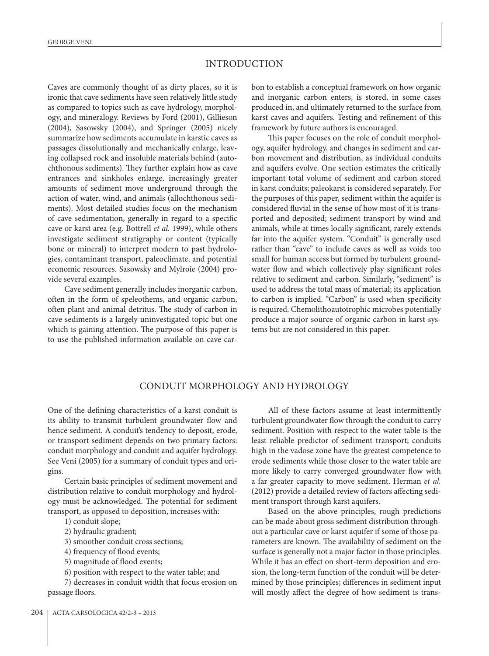### INTRODUCTION

Caves are commonly thought of as dirty places, so it is ironic that cave sediments have seen relatively little study as compared to topics such as cave hydrology, morphology, and mineralogy. Reviews by Ford (2001), Gillieson (2004), Sasowsky (2004), and Springer (2005) nicely summarize how sediments accumulate in karstic caves as passages dissolutionally and mechanically enlarge, leaving collapsed rock and insoluble materials behind (autochthonous sediments). They further explain how as cave entrances and sinkholes enlarge, increasingly greater amounts of sediment move underground through the action of water, wind, and animals (allochthonous sediments). Most detailed studies focus on the mechanism of cave sedimentation, generally in regard to a specific cave or karst area (e.g. Bottrell *et al.* 1999), while others investigate sediment stratigraphy or content (typically bone or mineral) to interpret modern to past hydrologies, contaminant transport, paleoclimate, and potential economic resources. Sasowsky and Mylroie (2004) provide several examples.

Cave sediment generally includes inorganic carbon, often in the form of speleothems, and organic carbon, often plant and animal detritus. The study of carbon in cave sediments is a largely uninvestigated topic but one which is gaining attention. The purpose of this paper is to use the published information available on cave carbon to establish a conceptual framework on how organic and inorganic carbon enters, is stored, in some cases produced in, and ultimately returned to the surface from karst caves and aquifers. Testing and refinement of this framework by future authors is encouraged.

This paper focuses on the role of conduit morphology, aquifer hydrology, and changes in sediment and carbon movement and distribution, as individual conduits and aquifers evolve. One section estimates the critically important total volume of sediment and carbon stored in karst conduits; paleokarst is considered separately. For the purposes of this paper, sediment within the aquifer is considered fluvial in the sense of how most of it is transported and deposited; sediment transport by wind and animals, while at times locally significant, rarely extends far into the aquifer system. "Conduit" is generally used rather than "cave" to include caves as well as voids too small for human access but formed by turbulent groundwater flow and which collectively play significant roles relative to sediment and carbon. Similarly, "sediment" is used to address the total mass of material; its application to carbon is implied. "Carbon" is used when specificity is required. Chemolithoautotrophic microbes potentially produce a major source of organic carbon in karst systems but are not considered in this paper.

#### CONDUIT MORPHOLOGY AND HYDROLOGY

One of the defining characteristics of a karst conduit is its ability to transmit turbulent groundwater flow and hence sediment. A conduit's tendency to deposit, erode, or transport sediment depends on two primary factors: conduit morphology and conduit and aquifer hydrology. See Veni (2005) for a summary of conduit types and origins.

Certain basic principles of sediment movement and distribution relative to conduit morphology and hydrology must be acknowledged. The potential for sediment transport, as opposed to deposition, increases with:

1) conduit slope;

2) hydraulic gradient;

3) smoother conduit cross sections;

4) frequency of flood events;

5) magnitude of flood events;

6) position with respect to the water table; and

7) decreases in conduit width that focus erosion on passage floors.

All of these factors assume at least intermittently turbulent groundwater flow through the conduit to carry sediment. Position with respect to the water table is the least reliable predictor of sediment transport; conduits high in the vadose zone have the greatest competence to erode sediments while those closer to the water table are more likely to carry converged groundwater flow with a far greater capacity to move sediment. Herman *et al.* (2012) provide a detailed review of factors affecting sediment transport through karst aquifers.

Based on the above principles, rough predictions can be made about gross sediment distribution throughout a particular cave or karst aquifer if some of those parameters are known. The availability of sediment on the surface is generally not a major factor in those principles. While it has an effect on short-term deposition and erosion, the long-term function of the conduit will be determined by those principles; differences in sediment input will mostly affect the degree of how sediment is trans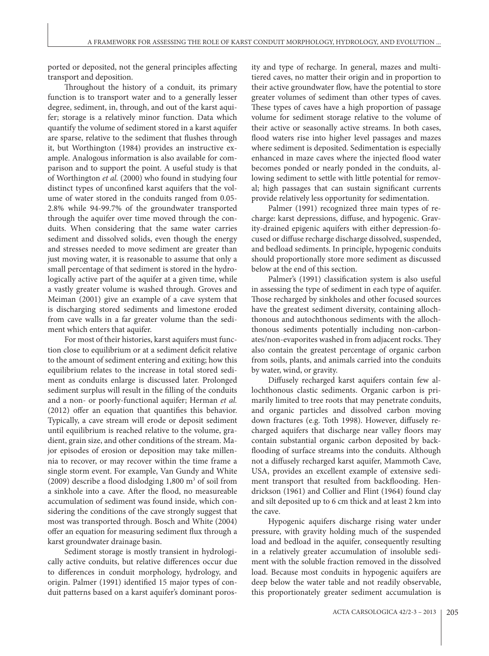ported or deposited, not the general principles affecting transport and deposition.

Throughout the history of a conduit, its primary function is to transport water and to a generally lesser degree, sediment, in, through, and out of the karst aquifer; storage is a relatively minor function. Data which quantify the volume of sediment stored in a karst aquifer are sparse, relative to the sediment that flushes through it, but Worthington (1984) provides an instructive example. Analogous information is also available for comparison and to support the point. A useful study is that of Worthington *et al.* (2000) who found in studying four distinct types of unconfined karst aquifers that the volume of water stored in the conduits ranged from 0.05- 2.8% while 94-99.7% of the groundwater transported through the aquifer over time moved through the conduits. When considering that the same water carries sediment and dissolved solids, even though the energy and stresses needed to move sediment are greater than just moving water, it is reasonable to assume that only a small percentage of that sediment is stored in the hydrologically active part of the aquifer at a given time, while a vastly greater volume is washed through. Groves and Meiman (2001) give an example of a cave system that is discharging stored sediments and limestone eroded from cave walls in a far greater volume than the sediment which enters that aquifer.

For most of their histories, karst aquifers must function close to equilibrium or at a sediment deficit relative to the amount of sediment entering and exiting; how this equilibrium relates to the increase in total stored sediment as conduits enlarge is discussed later. Prolonged sediment surplus will result in the filling of the conduits and a non- or poorly-functional aquifer; Herman *et al.* (2012) offer an equation that quantifies this behavior. Typically, a cave stream will erode or deposit sediment until equilibrium is reached relative to the volume, gradient, grain size, and other conditions of the stream. Major episodes of erosion or deposition may take millennia to recover, or may recover within the time frame a single storm event. For example, Van Gundy and White (2009) describe a flood dislodging  $1,800 \text{ m}^3$  of soil from a sinkhole into a cave. After the flood, no measureable accumulation of sediment was found inside, which considering the conditions of the cave strongly suggest that most was transported through. Bosch and White (2004) offer an equation for measuring sediment flux through a karst groundwater drainage basin.

Sediment storage is mostly transient in hydrologically active conduits, but relative differences occur due to differences in conduit morphology, hydrology, and origin. Palmer (1991) identified 15 major types of conduit patterns based on a karst aquifer's dominant porosity and type of recharge. In general, mazes and multitiered caves, no matter their origin and in proportion to their active groundwater flow, have the potential to store greater volumes of sediment than other types of caves. These types of caves have a high proportion of passage volume for sediment storage relative to the volume of their active or seasonally active streams. In both cases, flood waters rise into higher level passages and mazes where sediment is deposited. Sedimentation is especially enhanced in maze caves where the injected flood water becomes ponded or nearly ponded in the conduits, allowing sediment to settle with little potential for removal; high passages that can sustain significant currents provide relatively less opportunity for sedimentation.

Palmer (1991) recognized three main types of recharge: karst depressions, diffuse, and hypogenic. Gravity-drained epigenic aquifers with either depression-focused or diffuse recharge discharge dissolved, suspended, and bedload sediments. In principle, hypogenic conduits should proportionally store more sediment as discussed below at the end of this section.

Palmer's (1991) classification system is also useful in assessing the type of sediment in each type of aquifer. Those recharged by sinkholes and other focused sources have the greatest sediment diversity, containing allochthonous and autochthonous sediments with the allochthonous sediments potentially including non-carbonates/non-evaporites washed in from adjacent rocks. They also contain the greatest percentage of organic carbon from soils, plants, and animals carried into the conduits by water, wind, or gravity.

Diffusely recharged karst aquifers contain few allochthonous clastic sediments. Organic carbon is primarily limited to tree roots that may penetrate conduits, and organic particles and dissolved carbon moving down fractures (e.g. Toth 1998). However, diffusely recharged aquifers that discharge near valley floors may contain substantial organic carbon deposited by backflooding of surface streams into the conduits. Although not a diffusely recharged karst aquifer, Mammoth Cave, USA, provides an excellent example of extensive sediment transport that resulted from backflooding. Hendrickson (1961) and Collier and Flint (1964) found clay and silt deposited up to 6 cm thick and at least 2 km into the cave.

Hypogenic aquifers discharge rising water under pressure, with gravity holding much of the suspended load and bedload in the aquifer, consequently resulting in a relatively greater accumulation of insoluble sediment with the soluble fraction removed in the dissolved load. Because most conduits in hypogenic aquifers are deep below the water table and not readily observable, this proportionately greater sediment accumulation is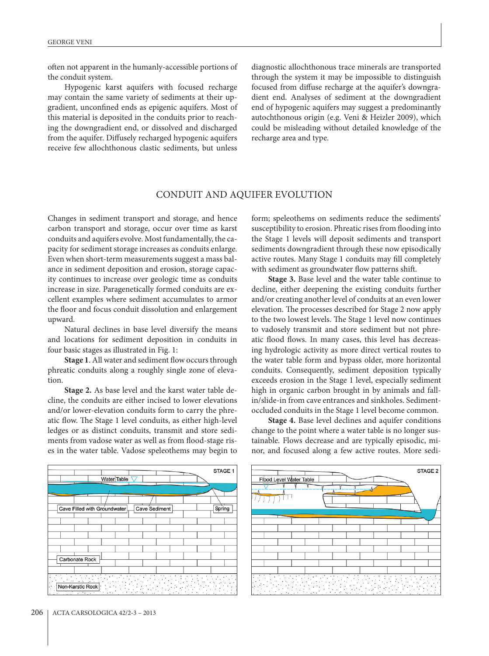often not apparent in the humanly-accessible portions of the conduit system.

Hypogenic karst aquifers with focused recharge may contain the same variety of sediments at their upgradient, unconfined ends as epigenic aquifers. Most of this material is deposited in the conduits prior to reaching the downgradient end, or dissolved and discharged from the aquifer. Diffusely recharged hypogenic aquifers receive few allochthonous clastic sediments, but unless diagnostic allochthonous trace minerals are transported through the system it may be impossible to distinguish focused from diffuse recharge at the aquifer's downgradient end. Analyses of sediment at the downgradient end of hypogenic aquifers may suggest a predominantly autochthonous origin (e.g. Veni & Heizler 2009), which could be misleading without detailed knowledge of the recharge area and type.

#### CONDUIT AND AQUIFER EVOLUTION

Changes in sediment transport and storage, and hence carbon transport and storage, occur over time as karst conduits and aquifers evolve. Most fundamentally, the capacity for sediment storage increases as conduits enlarge. Even when short-term measurements suggest a mass balance in sediment deposition and erosion, storage capacity continues to increase over geologic time as conduits increase in size. Paragenetically formed conduits are excellent examples where sediment accumulates to armor the floor and focus conduit dissolution and enlargement upward.

Natural declines in base level diversify the means and locations for sediment deposition in conduits in four basic stages as illustrated in Fig. 1:

**Stage 1**. All water and sediment flow occurs through phreatic conduits along a roughly single zone of elevation.

**Stage 2.** As base level and the karst water table decline, the conduits are either incised to lower elevations and/or lower-elevation conduits form to carry the phreatic flow. The Stage 1 level conduits, as either high-level ledges or as distinct conduits, transmit and store sediments from vadose water as well as from flood-stage rises in the water table. Vadose speleothems may begin to form; speleothems on sediments reduce the sediments' susceptibility to erosion. Phreatic rises from flooding into the Stage 1 levels will deposit sediments and transport sediments downgradient through these now episodically active routes. Many Stage 1 conduits may fill completely with sediment as groundwater flow patterns shift.

**Stage 3.** Base level and the water table continue to decline, either deepening the existing conduits further and/or creating another level of conduits at an even lower elevation. The processes described for Stage 2 now apply to the two lowest levels. The Stage 1 level now continues to vadosely transmit and store sediment but not phreatic flood flows. In many cases, this level has decreasing hydrologic activity as more direct vertical routes to the water table form and bypass older, more horizontal conduits. Consequently, sediment deposition typically exceeds erosion in the Stage 1 level, especially sediment high in organic carbon brought in by animals and fallin/slide-in from cave entrances and sinkholes. Sedimentoccluded conduits in the Stage 1 level become common.

**Stage 4.** Base level declines and aquifer conditions change to the point where a water table is no longer sustainable. Flows decrease and are typically episodic, minor, and focused along a few active routes. More sedi-



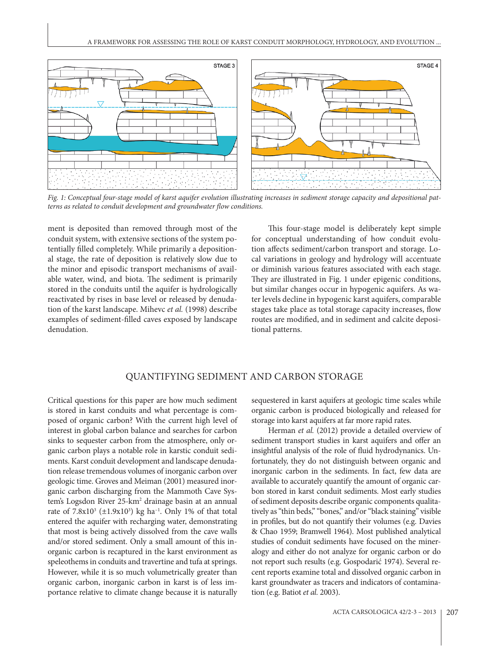

*Fig. 1: Conceptual four-stage model of karst aquifer evolution illustrating increases in sediment storage capacity and depositional patterns as related to conduit development and groundwater flow conditions.* 

ment is deposited than removed through most of the conduit system, with extensive sections of the system potentially filled completely. While primarily a depositional stage, the rate of deposition is relatively slow due to the minor and episodic transport mechanisms of available water, wind, and biota. The sediment is primarily stored in the conduits until the aquifer is hydrologically reactivated by rises in base level or released by denudation of the karst landscape. Mihevc *et al.* (1998) describe examples of sediment-filled caves exposed by landscape denudation.

This four-stage model is deliberately kept simple for conceptual understanding of how conduit evolution affects sediment/carbon transport and storage. Local variations in geology and hydrology will accentuate or diminish various features associated with each stage. They are illustrated in Fig. 1 under epigenic conditions, but similar changes occur in hypogenic aquifers. As water levels decline in hypogenic karst aquifers, comparable stages take place as total storage capacity increases, flow routes are modified, and in sediment and calcite depositional patterns.

#### QUANTIFYING SEDIMENT AND CARBON STORAGE

Critical questions for this paper are how much sediment is stored in karst conduits and what percentage is composed of organic carbon? With the current high level of interest in global carbon balance and searches for carbon sinks to sequester carbon from the atmosphere, only organic carbon plays a notable role in karstic conduit sediments. Karst conduit development and landscape denudation release tremendous volumes of inorganic carbon over geologic time. Groves and Meiman (2001) measured inorganic carbon discharging from the Mammoth Cave System's Logsdon River 25-km<sup>2</sup> drainage basin at an annual rate of 7.8x10<sup>3</sup> (±1.9x10<sup>3</sup>) kg ha<sup>-1</sup>. Only 1% of that total entered the aquifer with recharging water, demonstrating that most is being actively dissolved from the cave walls and/or stored sediment. Only a small amount of this inorganic carbon is recaptured in the karst environment as speleothems in conduits and travertine and tufa at springs. However, while it is so much volumetrically greater than organic carbon, inorganic carbon in karst is of less importance relative to climate change because it is naturally

sequestered in karst aquifers at geologic time scales while organic carbon is produced biologically and released for storage into karst aquifers at far more rapid rates.

Herman et al. (2012) provide a detailed overview of sediment transport studies in karst aquifers and offer an insightful analysis of the role of fluid hydrodynanics. Unfortunately, they do not distinguish between organic and inorganic carbon in the sediments. In fact, few data are available to accurately quantify the amount of organic carbon stored in karst conduit sediments. Most early studies of sediment deposits describe organic components qualitatively as "thin beds," "bones," and/or "black staining" visible in profiles, but do not quantify their volumes (e.g. Davies & Chao 1959; Bramwell 1964). Most published analytical studies of conduit sediments have focused on the mineralogy and either do not analyze for organic carbon or do not report such results (e.g. Gospodarić 1974). Several recent reports examine total and dissolved organic carbon in karst groundwater as tracers and indicators of contamination (e.g. Batiot *et al.* 2003).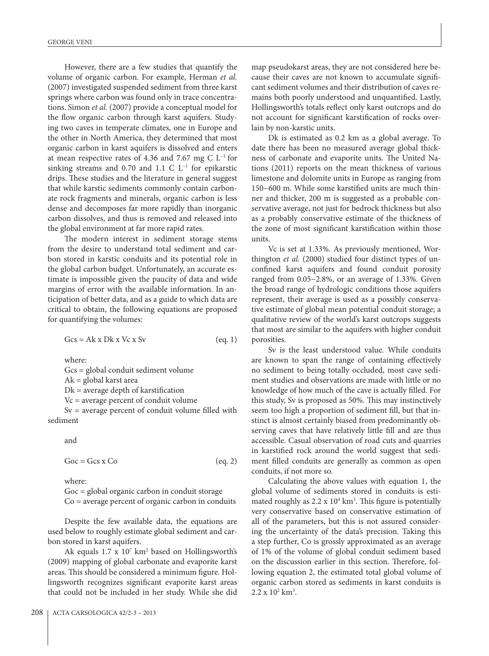However, there are a few studies that quantify the volume of organic carbon. For example, Herman *et al.* (2007) investigated suspended sediment from three karst springs where carbon was found only in trace concentrations. Simon *et al.* (2007) provide a conceptual model for the flow organic carbon through karst aquifers. Studying two caves in temperate climates, one in Europe and the other in North America, they determined that most organic carbon in karst aquifers is dissolved and enters at mean respective rates of 4.36 and 7.67 mg C L−1 for sinking streams and 0.70 and 1.1 C L<sup>-1</sup> for epikarstic drips. These studies and the literature in general suggest that while karstic sediments commonly contain carbonate rock fragments and minerals, organic carbon is less dense and decomposes far more rapidly than inorganic carbon dissolves, and thus is removed and released into the global environment at far more rapid rates.

The modern interest in sediment storage stems from the desire to understand total sediment and carbon stored in karstic conduits and its potential role in the global carbon budget. Unfortunately, an accurate estimate is impossible given the paucity of data and wide margins of error with the available information. In anticipation of better data, and as a guide to which data are critical to obtain, the following equations are proposed for quantifying the volumes:

 $Gcs = Ak x Dk x Vc x Sv$  (eq. 1)

where:

Gcs = global conduit sediment volume

Ak = global karst area

 $Dk$  = average depth of karstification

Vc = average percent of conduit volume

Sv = average percent of conduit volume filled with sediment

and

 $Goc = Gcs \times Co$  (eq. 2)

where:

Goc = global organic carbon in conduit storage Co = average percent of organic carbon in conduits

Despite the few available data, the equations are used below to roughly estimate global sediment and carbon stored in karst aquifers.

Ak equals  $1.7 \times 10^7$  km<sup>2</sup> based on Hollingsworth's (2009) mapping of global carbonate and evaporite karst areas. This should be considered a minimum figure. Hollingsworth recognizes significant evaporite karst areas that could not be included in her study. While she did

map pseudokarst areas, they are not considered here because their caves are not known to accumulate significant sediment volumes and their distribution of caves remains both poorly understood and unquantified. Lastly, Hollingsworth's totals reflect only karst outcrops and do not account for significant karstification of rocks overlain by non-karstic units.

Dk is estimated as 0.2 km as a global average. To date there has been no measured average global thickness of carbonate and evaporite units. The United Nations (2011) reports on the mean thickness of various limestone and dolomite units in Europe as ranging from 150−600 m. While some karstified units are much thinner and thicker, 200 m is suggested as a probable conservative average, not just for bedrock thickness but also as a probably conservative estimate of the thickness of the zone of most significant karstification within those units.

Vc is set at 1.33%. As previously mentioned, Worthington *et al.* (2000) studied four distinct types of unconfined karst aquifers and found conduit porosity ranged from 0.05−2.8%, or an average of 1.33%. Given the broad range of hydrologic conditions those aquifers represent, their average is used as a possibly conservative estimate of global mean potential conduit storage; a qualitative review of the world's karst outcrops suggests that most are similar to the aquifers with higher conduit porosities.

Sv is the least understood value. While conduits are known to span the range of containing effectively no sediment to being totally occluded, most cave sediment studies and observations are made with little or no knowledge of how much of the cave is actually filled. For this study, Sv is proposed as 50%. This may instinctively seem too high a proportion of sediment fill, but that instinct is almost certainly biased from predominantly observing caves that have relatively little fill and are thus accessible. Casual observation of road cuts and quarries in karstified rock around the world suggest that sediment filled conduits are generally as common as open conduits, if not more so.

Calculating the above values with equation 1, the global volume of sediments stored in conduits is estimated roughly as  $2.2 \times 10^4$  km<sup>3</sup>. This figure is potentially very conservative based on conservative estimation of all of the parameters, but this is not assured considering the uncertainty of the data's precision. Taking this a step further, Co is grossly approximated as an average of 1% of the volume of global conduit sediment based on the discussion earlier in this section. Therefore, following equation 2, the estimated total global volume of organic carbon stored as sediments in karst conduits is  $2.2 \times 10^2$  km<sup>3</sup>.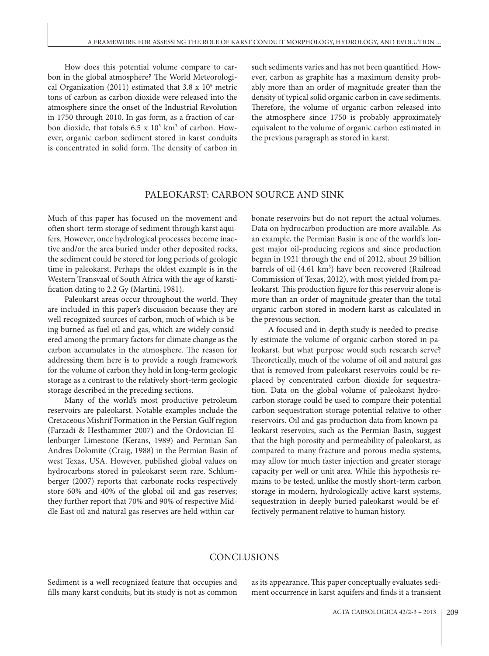How does this potential volume compare to carbon in the global atmosphere? The World Meteorological Organization (2011) estimated that  $3.8 \times 10^9$  metric tons of carbon as carbon dioxide were released into the atmosphere since the onset of the Industrial Revolution in 1750 through 2010. In gas form, as a fraction of carbon dioxide, that totals  $6.5 \times 10^3$  km<sup>3</sup> of carbon. However, organic carbon sediment stored in karst conduits is concentrated in solid form. The density of carbon in

such sediments varies and has not been quantified. However, carbon as graphite has a maximum density probably more than an order of magnitude greater than the density of typical solid organic carbon in cave sediments. Therefore, the volume of organic carbon released into the atmosphere since 1750 is probably approximately equivalent to the volume of organic carbon estimated in the previous paragraph as stored in karst.

#### PALEOKARST: CARBON SOURCE AND SINK

Much of this paper has focused on the movement and often short-term storage of sediment through karst aquifers. However, once hydrological processes become inactive and/or the area buried under other deposited rocks, the sediment could be stored for long periods of geologic time in paleokarst. Perhaps the oldest example is in the Western Transvaal of South Africa with the age of karstification dating to 2.2 Gy (Martini, 1981).

Paleokarst areas occur throughout the world. They are included in this paper's discussion because they are well recognized sources of carbon, much of which is being burned as fuel oil and gas, which are widely considered among the primary factors for climate change as the carbon accumulates in the atmosphere. The reason for addressing them here is to provide a rough framework for the volume of carbon they hold in long-term geologic storage as a contrast to the relatively short-term geologic storage described in the preceding sections.

Many of the world's most productive petroleum reservoirs are paleokarst. Notable examples include the Cretaceous Mishrif Formation in the Persian Gulf region (Farzadi & Hesthammer 2007) and the Ordovician Ellenburger Limestone (Kerans, 1989) and Permian San Andres Dolomite (Craig, 1988) in the Permian Basin of west Texas, USA. However, published global values on hydrocarbons stored in paleokarst seem rare. Schlumberger (2007) reports that carbonate rocks respectively store 60% and 40% of the global oil and gas reserves; they further report that 70% and 90% of respective Middle East oil and natural gas reserves are held within carbonate reservoirs but do not report the actual volumes. Data on hydrocarbon production are more available. As an example, the Permian Basin is one of the world's longest major oil-producing regions and since production began in 1921 through the end of 2012, about 29 billion barrels of oil (4.61 km<sup>3</sup>) have been recovered (Railroad Commission of Texas, 2012), with most yielded from paleokarst. This production figure for this reservoir alone is more than an order of magnitude greater than the total organic carbon stored in modern karst as calculated in the previous section.

A focused and in-depth study is needed to precisely estimate the volume of organic carbon stored in paleokarst, but what purpose would such research serve? Theoretically, much of the volume of oil and natural gas that is removed from paleokarst reservoirs could be replaced by concentrated carbon dioxide for sequestration. Data on the global volume of paleokarst hydrocarbon storage could be used to compare their potential carbon sequestration storage potential relative to other reservoirs. Oil and gas production data from known paleokarst reservoirs, such as the Permian Basin, suggest that the high porosity and permeability of paleokarst, as compared to many fracture and porous media systems, may allow for much faster injection and greater storage capacity per well or unit area. While this hypothesis remains to be tested, unlike the mostly short-term carbon storage in modern, hydrologically active karst systems, sequestration in deeply buried paleokarst would be effectively permanent relative to human history.

## **CONCLUSIONS**

Sediment is a well recognized feature that occupies and fills many karst conduits, but its study is not as common as its appearance. This paper conceptually evaluates sediment occurrence in karst aquifers and finds it a transient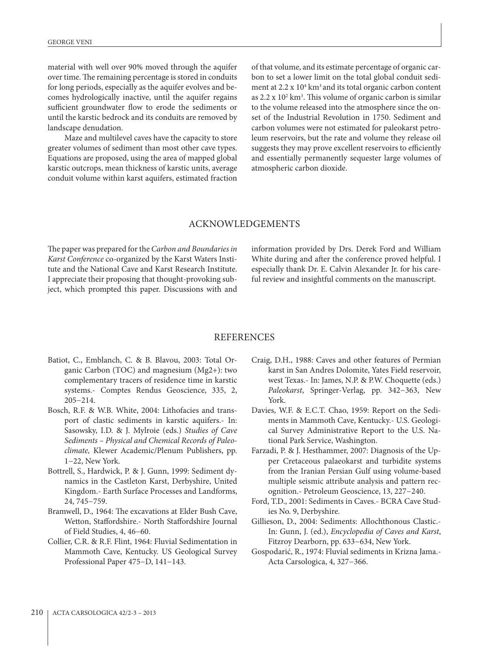material with well over 90% moved through the aquifer over time. The remaining percentage is stored in conduits for long periods, especially as the aquifer evolves and becomes hydrologically inactive, until the aquifer regains sufficient groundwater flow to erode the sediments or until the karstic bedrock and its conduits are removed by landscape denudation.

Maze and multilevel caves have the capacity to store greater volumes of sediment than most other cave types. Equations are proposed, using the area of mapped global karstic outcrops, mean thickness of karstic units, average conduit volume within karst aquifers, estimated fraction of that volume, and its estimate percentage of organic carbon to set a lower limit on the total global conduit sediment at  $2.2 \times 10^4$  km<sup>3</sup> and its total organic carbon content as  $2.2 \times 10^2$  km<sup>3</sup>. This volume of organic carbon is similar to the volume released into the atmosphere since the onset of the Industrial Revolution in 1750. Sediment and carbon volumes were not estimated for paleokarst petroleum reservoirs, but the rate and volume they release oil suggests they may prove excellent reservoirs to efficiently and essentially permanently sequester large volumes of atmospheric carbon dioxide.

#### ACKNOWLEDGEMENTS

The paper was prepared for the *Carbon and Boundaries in Karst Conference* co-organized by the Karst Waters Institute and the National Cave and Karst Research Institute. I appreciate their proposing that thought-provoking subject, which prompted this paper. Discussions with and information provided by Drs. Derek Ford and William White during and after the conference proved helpful. I especially thank Dr. E. Calvin Alexander Jr. for his careful review and insightful comments on the manuscript.

#### REFERENCES

- Batiot, C., Emblanch, C. & B. Blavou, 2003: Total Organic Carbon (TOC) and magnesium (Mg2+): two complementary tracers of residence time in karstic systems.- Comptes Rendus Geoscience, 335, 2, 205−214.
- Bosch, R.F. & W.B. White, 2004: Lithofacies and transport of clastic sediments in karstic aquifers.- In: Sasowsky, I.D. & J. Mylroie (eds.) *Studies of Cave Sediments – Physical and Chemical Records of Paleoclimate,* Klewer Academic/Plenum Publishers, pp. 1−22, New York.
- Bottrell, S., Hardwick, P. & J. Gunn, 1999: Sediment dynamics in the Castleton Karst, Derbyshire, United Kingdom.- Earth Surface Processes and Landforms, 24, 745−759.
- Bramwell, D., 1964: The excavations at Elder Bush Cave, Wetton, Staffordshire.- North Staffordshire Journal of Field Studies, 4, 46−60.
- Collier, C.R. & R.F. Flint, 1964: Fluvial Sedimentation in Mammoth Cave, Kentucky. US Geological Survey Professional Paper 475−D, 141−143.
- Craig, D.H., 1988: Caves and other features of Permian karst in San Andres Dolomite, Yates Field reservoir, west Texas.- In: James, N.P. & P.W. Choquette (eds.) *Paleokarst*, Springer-Verlag, pp. 342−363, New York.
- Davies, W.F. & E.C.T. Chao, 1959: Report on the Sediments in Mammoth Cave, Kentucky.- U.S. Geological Survey Administrative Report to the U.S. National Park Service, Washington.
- Farzadi, P. & J. Hesthammer, 2007: Diagnosis of the Upper Cretaceous palaeokarst and turbidite systems from the Iranian Persian Gulf using volume-based multiple seismic attribute analysis and pattern recognition.- Petroleum Geoscience, 13, 227−240.
- Ford, T.D., 2001: Sediments in Caves.- BCRA Cave Studies No. 9, Derbyshire.
- Gillieson, D., 2004: Sediments: Allochthonous Clastic.- In: Gunn, J. (ed.), *Encyclopedia of Caves and Karst*, Fitzroy Dearborn, pp. 633−634, New York.
- Gospodarić, R., 1974: Fluvial sediments in Krizna Jama.- Acta Carsologica, 4, 327−366.